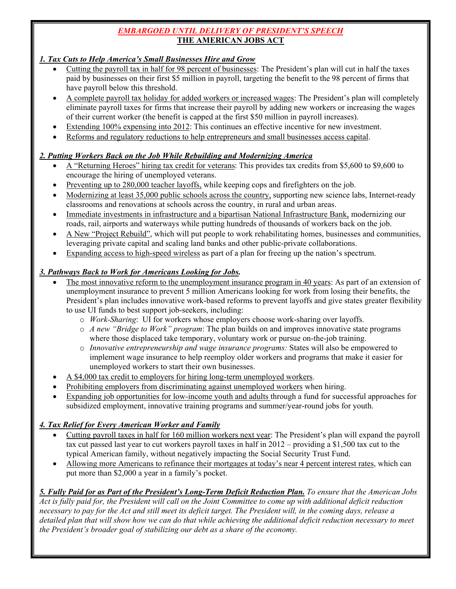## *EMBARGOED UNTIL DELIVERY OF THE PRESIDENT'S SPEECH EMBARGOED UNTIL DELIVERY OF PRESIDENT'S SPEECH* **THE AMERICAN JOBS ACT**

## *1. Tax Cuts to Help America's Small Businesses Hire and Grow*

- ! Cutting the payroll tax in half for 98 percent of businesses: The President's plan will cut in half the taxes paid by businesses on their first \$5 million in payroll, targeting the benefit to the 98 percent of firms that have payroll below this threshold.
- ! A complete payroll tax holiday for added workers or increased wages: The President's plan will completely eliminate payroll taxes for firms that increase their payroll by adding new workers or increasing the wages of their current worker (the benefit is capped at the first \$50 million in payroll increases).
- Extending 100% expensing into 2012: This continues an effective incentive for new investment.
- ! Reforms and regulatory reductions to help entrepreneurs and small businesses access capital.

## *2. Putting Workers Back on the Job While Rebuilding and Modernizing America*

- ! A "Returning Heroes" hiring tax credit for veterans: This provides tax credits from \$5,600 to \$9,600 to encourage the hiring of unemployed veterans.
- Preventing up to 280,000 teacher layoffs, while keeping cops and firefighters on the job.
- ! Modernizing at least 35,000 public schools across the country, supporting new science labs, Internet-ready classrooms and renovations at schools across the country, in rural and urban areas.
- ! Immediate investments in infrastructure and a bipartisan National Infrastructure Bank, modernizing our roads, rail, airports and waterways while putting hundreds of thousands of workers back on the job.
- ! A New "Project Rebuild", which will put people to work rehabilitating homes, businesses and communities, leveraging private capital and scaling land banks and other public-private collaborations.
- ! Expanding access to high-speed wireless as part of a plan for freeing up the nation's spectrum.

## *3. Pathways Back to Work for Americans Looking for Jobs.*

- The most innovative reform to the unemployment insurance program in 40 years: As part of an extension of unemployment insurance to prevent 5 million Americans looking for work from losing their benefits, the President's plan includes innovative work-based reforms to prevent layoffs and give states greater flexibility to use UI funds to best support job-seekers, including:
	- o *Work-Sharing*: UI for workers whose employers choose work-sharing over layoffs.
	- o *A new "Bridge to Work" program*: The plan builds on and improves innovative state programs where those displaced take temporary, voluntary work or pursue on-the-job training.
	- o *Innovative entrepreneurship and wage insurance programs:* States will also be empowered to implement wage insurance to help reemploy older workers and programs that make it easier for unemployed workers to start their own businesses.
- A \$4,000 tax credit to employers for hiring long-term unemployed workers.
- ! Prohibiting employers from discriminating against unemployed workers when hiring.
- ! Expanding job opportunities for low-income youth and adults through a fund for successful approaches for subsidized employment, innovative training programs and summer/year-round jobs for youth.

## *4. Tax Relief for Every American Worker and Family*

- ! Cutting payroll taxes in half for 160 million workers next year: The President's plan will expand the payroll tax cut passed last year to cut workers payroll taxes in half in 2012 – providing a \$1,500 tax cut to the typical American family, without negatively impacting the Social Security Trust Fund.
- ! Allowing more Americans to refinance their mortgages at today's near 4 percent interest rates, which can put more than \$2,000 a year in a family's pocket.

*5. Fully Paid for as Part of the President's Long-Term Deficit Reduction Plan. To ensure that the American Jobs Act is fully paid for, the President will call on the Joint Committee to come up with additional deficit reduction necessary to pay for the Act and still meet its deficit target. The President will, in the coming days, release a*  detailed plan that will show how we can do that while achieving the additional deficit reduction necessary to meet *the President's broader goal of stabilizing our debt as a share of the economy.*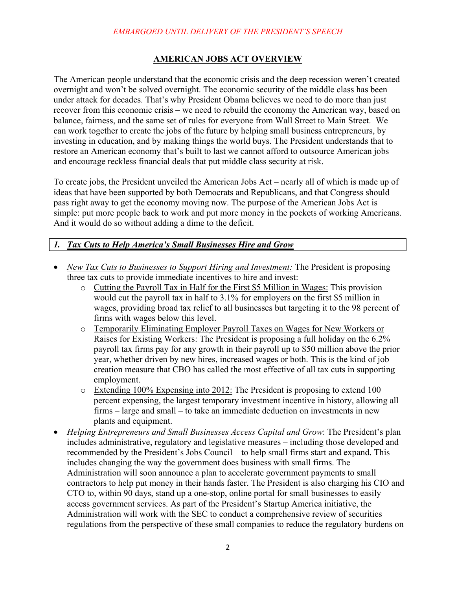#### **AMERICAN JOBS ACT OVERVIEW**

The American people understand that the economic crisis and the deep recession weren't created overnight and won't be solved overnight. The economic security of the middle class has been under attack for decades. That's why President Obama believes we need to do more than just recover from this economic crisis – we need to rebuild the economy the American way, based on balance, fairness, and the same set of rules for everyone from Wall Street to Main Street. We can work together to create the jobs of the future by helping small business entrepreneurs, by investing in education, and by making things the world buys. The President understands that to restore an American economy that's built to last we cannot afford to outsource American jobs and encourage reckless financial deals that put middle class security at risk.

To create jobs, the President unveiled the American Jobs Act – nearly all of which is made up of ideas that have been supported by both Democrats and Republicans, and that Congress should pass right away to get the economy moving now. The purpose of the American Jobs Act is simple: put more people back to work and put more money in the pockets of working Americans. And it would do so without adding a dime to the deficit.

#### *1. Tax Cuts to Help America's Small Businesses Hire and Grow*

- ! *New Tax Cuts to Businesses to Support Hiring and Investment:* The President is proposing three tax cuts to provide immediate incentives to hire and invest:
	- o Cutting the Payroll Tax in Half for the First \$5 Million in Wages: This provision would cut the payroll tax in half to 3.1% for employers on the first \$5 million in wages, providing broad tax relief to all businesses but targeting it to the 98 percent of firms with wages below this level.
	- o Temporarily Eliminating Employer Payroll Taxes on Wages for New Workers or Raises for Existing Workers: The President is proposing a full holiday on the 6.2% payroll tax firms pay for any growth in their payroll up to \$50 million above the prior year, whether driven by new hires, increased wages or both. This is the kind of job creation measure that CBO has called the most effective of all tax cuts in supporting employment.
	- o Extending 100% Expensing into 2012: The President is proposing to extend 100 percent expensing, the largest temporary investment incentive in history, allowing all firms – large and small – to take an immediate deduction on investments in new plants and equipment.
- ! *Helping Entrepreneurs and Small Businesses Access Capital and Grow*: The President's plan includes administrative, regulatory and legislative measures – including those developed and recommended by the President's Jobs Council – to help small firms start and expand. This includes changing the way the government does business with small firms. The Administration will soon announce a plan to accelerate government payments to small contractors to help put money in their hands faster. The President is also charging his CIO and CTO to, within 90 days, stand up a one-stop, online portal for small businesses to easily access government services. As part of the President's Startup America initiative, the Administration will work with the SEC to conduct a comprehensive review of securities regulations from the perspective of these small companies to reduce the regulatory burdens on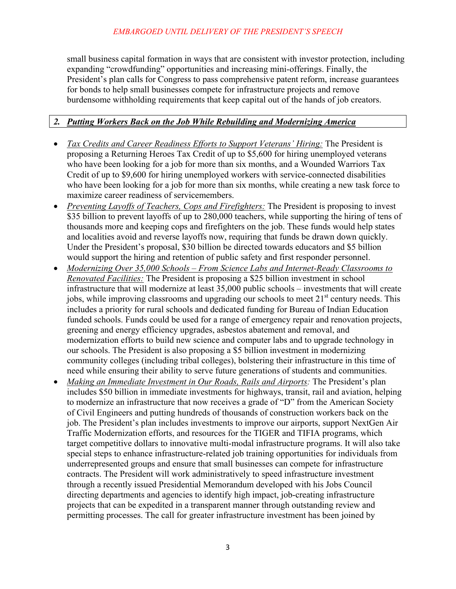small business capital formation in ways that are consistent with investor protection, including expanding "crowdfunding" opportunities and increasing mini-offerings. Finally, the President's plan calls for Congress to pass comprehensive patent reform, increase guarantees for bonds to help small businesses compete for infrastructure projects and remove burdensome withholding requirements that keep capital out of the hands of job creators.

# *2. Putting Workers Back on the Job While Rebuilding and Modernizing America*

- ! *Tax Credits and Career Readiness Efforts to Support Veterans' Hiring:* The President is proposing a Returning Heroes Tax Credit of up to \$5,600 for hiring unemployed veterans who have been looking for a job for more than six months, and a Wounded Warriors Tax Credit of up to \$9,600 for hiring unemployed workers with service-connected disabilities who have been looking for a job for more than six months, while creating a new task force to maximize career readiness of servicemembers.
- ! *Preventing Layoffs of Teachers, Cops and Firefighters:* The President is proposing to invest \$35 billion to prevent layoffs of up to 280,000 teachers, while supporting the hiring of tens of thousands more and keeping cops and firefighters on the job. These funds would help states and localities avoid and reverse layoffs now, requiring that funds be drawn down quickly. Under the President's proposal, \$30 billion be directed towards educators and \$5 billion would support the hiring and retention of public safety and first responder personnel.
- ! *Modernizing Over 35,000 Schools From Science Labs and Internet-Ready Classrooms to Renovated Facilities:* The President is proposing a \$25 billion investment in school infrastructure that will modernize at least 35,000 public schools – investments that will create jobs, while improving classrooms and upgrading our schools to meet  $21<sup>st</sup>$  century needs. This includes a priority for rural schools and dedicated funding for Bureau of Indian Education funded schools. Funds could be used for a range of emergency repair and renovation projects, greening and energy efficiency upgrades, asbestos abatement and removal, and modernization efforts to build new science and computer labs and to upgrade technology in our schools. The President is also proposing a \$5 billion investment in modernizing community colleges (including tribal colleges), bolstering their infrastructure in this time of need while ensuring their ability to serve future generations of students and communities.
- ! *Making an Immediate Investment in Our Roads, Rails and Airports:* The President's plan includes \$50 billion in immediate investments for highways, transit, rail and aviation, helping to modernize an infrastructure that now receives a grade of "D" from the American Society of Civil Engineers and putting hundreds of thousands of construction workers back on the job. The President's plan includes investments to improve our airports, support NextGen Air Traffic Modernization efforts, and resources for the TIGER and TIFIA programs, which target competitive dollars to innovative multi-modal infrastructure programs. It will also take special steps to enhance infrastructure-related job training opportunities for individuals from underrepresented groups and ensure that small businesses can compete for infrastructure contracts. The President will work administratively to speed infrastructure investment through a recently issued Presidential Memorandum developed with his Jobs Council directing departments and agencies to identify high impact, job-creating infrastructure projects that can be expedited in a transparent manner through outstanding review and permitting processes. The call for greater infrastructure investment has been joined by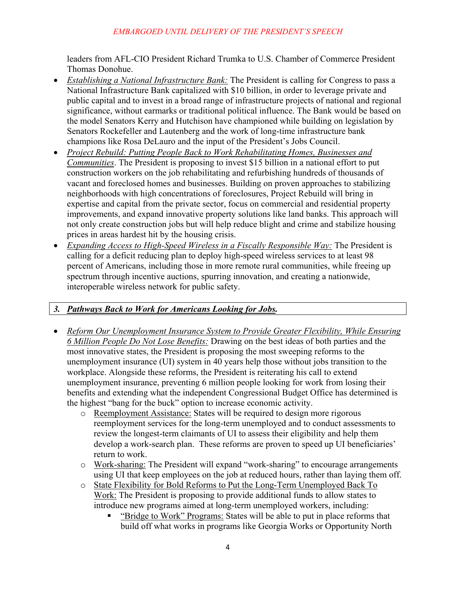#### *EMBARGOED UNTIL DELIVERY OF THE PRESIDENT'S SPEECH*

leaders from AFL-CIO President Richard Trumka to U.S. Chamber of Commerce President Thomas Donohue.

- ! *Establishing a National Infrastructure Bank:* The President is calling for Congress to pass a National Infrastructure Bank capitalized with \$10 billion, in order to leverage private and public capital and to invest in a broad range of infrastructure projects of national and regional significance, without earmarks or traditional political influence. The Bank would be based on the model Senators Kerry and Hutchison have championed while building on legislation by Senators Rockefeller and Lautenberg and the work of long-time infrastructure bank champions like Rosa DeLauro and the input of the President's Jobs Council.
- ! *Project Rebuild: Putting People Back to Work Rehabilitating Homes, Businesses and Communities*. The President is proposing to invest \$15 billion in a national effort to put construction workers on the job rehabilitating and refurbishing hundreds of thousands of vacant and foreclosed homes and businesses. Building on proven approaches to stabilizing neighborhoods with high concentrations of foreclosures, Project Rebuild will bring in expertise and capital from the private sector, focus on commercial and residential property improvements, and expand innovative property solutions like land banks. This approach will not only create construction jobs but will help reduce blight and crime and stabilize housing prices in areas hardest hit by the housing crisis.
- ! *Expanding Access to High-Speed Wireless in a Fiscally Responsible Way:* The President is calling for a deficit reducing plan to deploy high-speed wireless services to at least 98 percent of Americans, including those in more remote rural communities, while freeing up spectrum through incentive auctions, spurring innovation, and creating a nationwide, interoperable wireless network for public safety.

## *3. Pathways Back to Work for Americans Looking for Jobs.*

- ! *Reform Our Unemployment Insurance System to Provide Greater Flexibility, While Ensuring 6 Million People Do Not Lose Benefits:* Drawing on the best ideas of both parties and the most innovative states, the President is proposing the most sweeping reforms to the unemployment insurance (UI) system in 40 years help those without jobs transition to the workplace. Alongside these reforms, the President is reiterating his call to extend unemployment insurance, preventing 6 million people looking for work from losing their benefits and extending what the independent Congressional Budget Office has determined is the highest "bang for the buck" option to increase economic activity.
	- o Reemployment Assistance: States will be required to design more rigorous reemployment services for the long-term unemployed and to conduct assessments to review the longest-term claimants of UI to assess their eligibility and help them develop a work-search plan. These reforms are proven to speed up UI beneficiaries' return to work.
	- o Work-sharing: The President will expand "work-sharing" to encourage arrangements using UI that keep employees on the job at reduced hours, rather than laying them off.
	- o State Flexibility for Bold Reforms to Put the Long-Term Unemployed Back To Work: The President is proposing to provide additional funds to allow states to introduce new programs aimed at long-term unemployed workers, including:
		- ! "Bridge to Work" Programs: States will be able to put in place reforms that build off what works in programs like Georgia Works or Opportunity North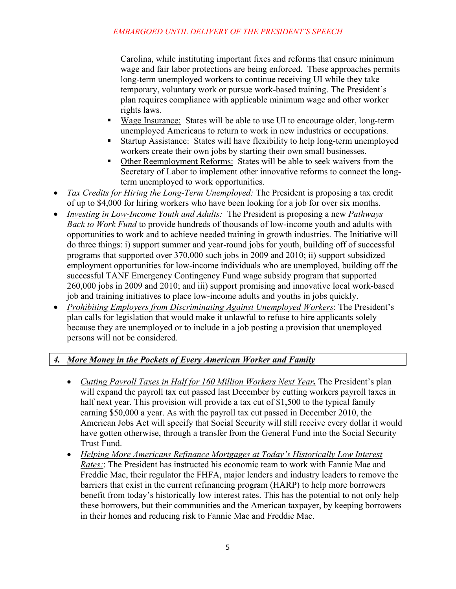Carolina, while instituting important fixes and reforms that ensure minimum wage and fair labor protections are being enforced. These approaches permits long-term unemployed workers to continue receiving UI while they take temporary, voluntary work or pursue work-based training. The President's plan requires compliance with applicable minimum wage and other worker rights laws.

- ! Wage Insurance:States will be able to use UI to encourage older, long-term unemployed Americans to return to work in new industries or occupations.
- ! Startup Assistance: States will have flexibility to help long-term unemployed workers create their own jobs by starting their own small businesses.
- ! Other Reemployment Reforms: States will be able to seek waivers from the Secretary of Labor to implement other innovative reforms to connect the longterm unemployed to work opportunities.
- ! *Tax Credits for Hiring the Long-Term Unemployed:* The President is proposing a tax credit of up to \$4,000 for hiring workers who have been looking for a job for over six months.
- ! *Investing in Low-Income Youth and Adults:* The President is proposing a new *Pathways Back to Work Fund* to provide hundreds of thousands of low-income youth and adults with opportunities to work and to achieve needed training in growth industries. The Initiative will do three things: i) support summer and year-round jobs for youth, building off of successful programs that supported over 370,000 such jobs in 2009 and 2010; ii) support subsidized employment opportunities for low-income individuals who are unemployed, building off the successful TANF Emergency Contingency Fund wage subsidy program that supported 260,000 jobs in 2009 and 2010; and iii) support promising and innovative local work-based job and training initiatives to place low-income adults and youths in jobs quickly.
- ! *Prohibiting Employers from Discriminating Against Unemployed Workers*: The President's plan calls for legislation that would make it unlawful to refuse to hire applicants solely because they are unemployed or to include in a job posting a provision that unemployed persons will not be considered.

# *4. More Money in the Pockets of Every American Worker and Family*

- ! *Cutting Payroll Taxes in Half for 160 Million Workers Next Year.* The President's plan will expand the payroll tax cut passed last December by cutting workers payroll taxes in half next year. This provision will provide a tax cut of \$1,500 to the typical family earning \$50,000 a year. As with the payroll tax cut passed in December 2010, the American Jobs Act will specify that Social Security will still receive every dollar it would have gotten otherwise, through a transfer from the General Fund into the Social Security Trust Fund.
- ! *Helping More Americans Refinance Mortgages at Today's Historically Low Interest Rates:*: The President has instructed his economic team to work with Fannie Mae and Freddie Mac, their regulator the FHFA, major lenders and industry leaders to remove the barriers that exist in the current refinancing program (HARP) to help more borrowers benefit from today's historically low interest rates. This has the potential to not only help these borrowers, but their communities and the American taxpayer, by keeping borrowers in their homes and reducing risk to Fannie Mae and Freddie Mac.